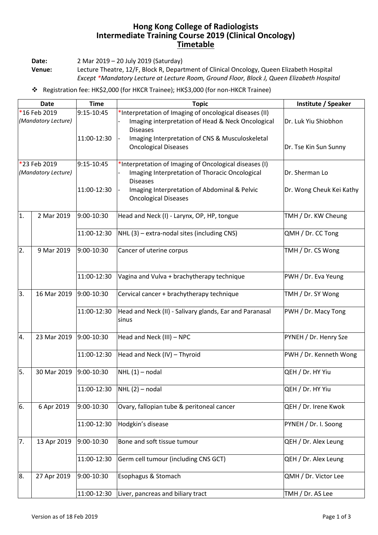## **Hong Kong College of Radiologists Intermediate Training Course 2019 (Clinical Oncology) Timetable**

**Date:** 2 Mar 2019 – 20 July 2019 (Saturday)

**Venue:** Lecture Theatre, 12/F, Block R, Department of Clinical Oncology, Queen Elizabeth Hospital *Except \*Mandatory Lecture at Lecture Room, Ground Floor, Block J, Queen Elizabeth Hospital*

Registration fee: HK\$2,000 (for HKCR Trainee); HK\$3,000 (for non-HKCR Trainee)

| <b>Date</b>                         |             | <b>Time</b> | <b>Topic</b>                                                                                                                    | Institute / Speaker      |
|-------------------------------------|-------------|-------------|---------------------------------------------------------------------------------------------------------------------------------|--------------------------|
| *16 Feb 2019<br>(Mandatory Lecture) |             | 9:15-10:45  | *Interpretation of Imaging of oncological diseases (II)<br>Imaging interpretation of Head & Neck Oncological<br><b>Diseases</b> | Dr. Luk Yiu Shiobhon     |
|                                     |             | 11:00-12:30 | Imaging Interpretation of CNS & Musculoskeletal<br><b>Oncological Diseases</b>                                                  | Dr. Tse Kin Sun Sunny    |
| *23 Feb 2019<br>(Mandatory Lecture) |             | 9:15-10:45  | *Interpretation of Imaging of Oncological diseases (I)<br>Imaging Interpretation of Thoracic Oncological<br><b>Diseases</b>     | Dr. Sherman Lo           |
|                                     |             | 11:00-12:30 | Imaging Interpretation of Abdominal & Pelvic<br><b>Oncological Diseases</b>                                                     | Dr. Wong Cheuk Kei Kathy |
| 1.                                  | 2 Mar 2019  | 9:00-10:30  | Head and Neck (I) - Larynx, OP, HP, tongue                                                                                      | TMH / Dr. KW Cheung      |
|                                     |             | 11:00-12:30 | NHL (3) - extra-nodal sites (including CNS)                                                                                     | QMH / Dr. CC Tong        |
| 2.                                  | 9 Mar 2019  | 9:00-10:30  | Cancer of uterine corpus                                                                                                        | TMH / Dr. CS Wong        |
|                                     |             | 11:00-12:30 | Vagina and Vulva + brachytherapy technique                                                                                      | PWH / Dr. Eva Yeung      |
| 3.                                  | 16 Mar 2019 | 9:00-10:30  | Cervical cancer + brachytherapy technique                                                                                       | TMH / Dr. SY Wong        |
|                                     |             | 11:00-12:30 | Head and Neck (II) - Salivary glands, Ear and Paranasal<br>sinus                                                                | PWH / Dr. Macy Tong      |
| 4.                                  | 23 Mar 2019 | 9:00-10:30  | Head and Neck (III) - NPC                                                                                                       | PYNEH / Dr. Henry Sze    |
|                                     |             | 11:00-12:30 | Head and Neck (IV) - Thyroid                                                                                                    | PWH / Dr. Kenneth Wong   |
| 5.                                  | 30 Mar 2019 | 9:00-10:30  | $NHL(1)$ – nodal                                                                                                                | QEH / Dr. HY Yiu         |
|                                     |             | 11:00-12:30 | $NHL(2)$ – nodal                                                                                                                | QEH / Dr. HY Yiu         |
| 6.                                  | 6 Apr 2019  | 9:00-10:30  | Ovary, fallopian tube & peritoneal cancer                                                                                       | QEH / Dr. Irene Kwok     |
|                                     |             | 11:00-12:30 | Hodgkin's disease                                                                                                               | PYNEH / Dr. I. Soong     |
| 7.                                  | 13 Apr 2019 | 9:00-10:30  | Bone and soft tissue tumour                                                                                                     | QEH / Dr. Alex Leung     |
|                                     |             | 11:00-12:30 | Germ cell tumour (including CNS GCT)                                                                                            | QEH / Dr. Alex Leung     |
| 8.                                  | 27 Apr 2019 | 9:00-10:30  | Esophagus & Stomach                                                                                                             | QMH / Dr. Victor Lee     |
|                                     |             | 11:00-12:30 | Liver, pancreas and biliary tract                                                                                               | TMH / Dr. AS Lee         |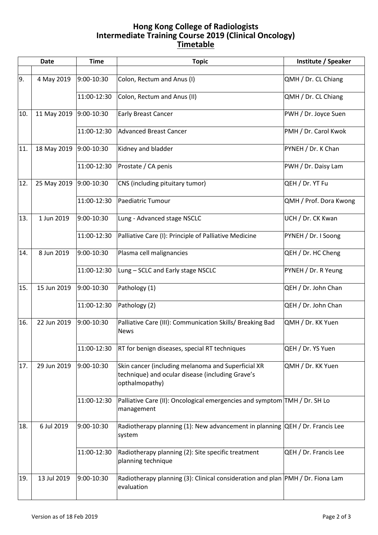## **Hong Kong College of Radiologists Intermediate Training Course 2019 (Clinical Oncology) Timetable**

|     | <b>Date</b> | <b>Time</b> | <b>Topic</b>                                                                                                             | Institute / Speaker    |
|-----|-------------|-------------|--------------------------------------------------------------------------------------------------------------------------|------------------------|
|     |             |             |                                                                                                                          |                        |
| 9.  | 4 May 2019  | 9:00-10:30  | Colon, Rectum and Anus (I)                                                                                               | QMH / Dr. CL Chiang    |
|     |             | 11:00-12:30 | Colon, Rectum and Anus (II)                                                                                              | QMH / Dr. CL Chiang    |
| 10. | 11 May 2019 | 9:00-10:30  | <b>Early Breast Cancer</b>                                                                                               | PWH / Dr. Joyce Suen   |
|     |             | 11:00-12:30 | <b>Advanced Breast Cancer</b>                                                                                            | PMH / Dr. Carol Kwok   |
| 11. | 18 May 2019 | 9:00-10:30  | Kidney and bladder                                                                                                       | PYNEH / Dr. K Chan     |
|     |             | 11:00-12:30 | Prostate / CA penis                                                                                                      | PWH / Dr. Daisy Lam    |
| 12. | 25 May 2019 | 9:00-10:30  | CNS (including pituitary tumor)                                                                                          | QEH / Dr. YT Fu        |
|     |             | 11:00-12:30 | Paediatric Tumour                                                                                                        | QMH / Prof. Dora Kwong |
| 13. | 1 Jun 2019  | 9:00-10:30  | Lung - Advanced stage NSCLC                                                                                              | UCH / Dr. CK Kwan      |
|     |             | 11:00-12:30 | Palliative Care (I): Principle of Palliative Medicine                                                                    | PYNEH / Dr. I Soong    |
| 14. | 8 Jun 2019  | 9:00-10:30  | Plasma cell malignancies                                                                                                 | QEH / Dr. HC Cheng     |
|     |             | 11:00-12:30 | Lung - SCLC and Early stage NSCLC                                                                                        | PYNEH / Dr. R Yeung    |
| 15. | 15 Jun 2019 | 9:00-10:30  | Pathology (1)                                                                                                            | QEH / Dr. John Chan    |
|     |             | 11:00-12:30 | Pathology (2)                                                                                                            | QEH / Dr. John Chan    |
| 16. | 22 Jun 2019 | 9:00-10:30  | Palliative Care (III): Communication Skills/ Breaking Bad<br><b>News</b>                                                 | QMH / Dr. KK Yuen      |
|     |             | 11:00-12:30 | RT for benign diseases, special RT techniques                                                                            | QEH / Dr. YS Yuen      |
| 17. | 29 Jun 2019 | 9:00-10:30  | Skin cancer (including melanoma and Superficial XR<br>technique) and ocular disease (including Grave's<br>opthalmopathy) | QMH / Dr. KK Yuen      |
|     |             | 11:00-12:30 | Palliative Care (II): Oncological emergencies and symptom TMH / Dr. SH Lo<br>management                                  |                        |
| 18. | 6 Jul 2019  | 9:00-10:30  | Radiotherapy planning (1): New advancement in planning QEH / Dr. Francis Lee<br>system                                   |                        |
|     |             | 11:00-12:30 | Radiotherapy planning (2): Site specific treatment<br>planning technique                                                 | QEH / Dr. Francis Lee  |
| 19. | 13 Jul 2019 | 9:00-10:30  | Radiotherapy planning (3): Clinical consideration and plan  PMH / Dr. Fiona Lam<br>evaluation                            |                        |